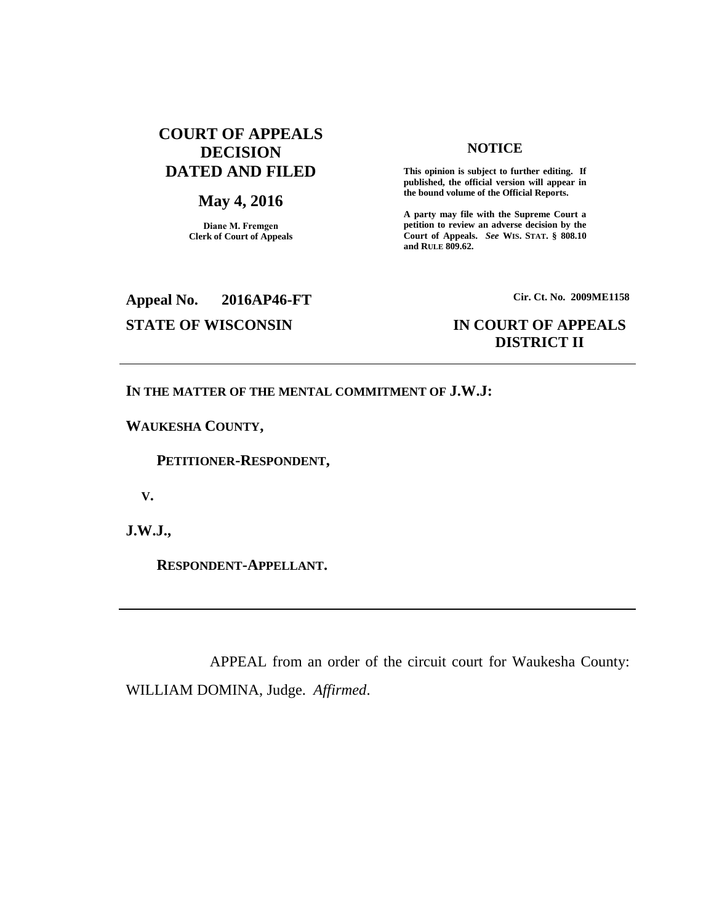## **COURT OF APPEALS DECISION DATED AND FILED**

## **May 4, 2016**

**Diane M. Fremgen Clerk of Court of Appeals**

### **NOTICE**

**This opinion is subject to further editing. If published, the official version will appear in the bound volume of the Official Reports.** 

**A party may file with the Supreme Court a petition to review an adverse decision by the Court of Appeals.** *See* **WIS. STAT. § 808.10 and RULE 809.62.** 

# **Appeal No. 2016AP46-FT Cir. Ct. No. 2009ME1158**

## **STATE OF WISCONSIN IN COURT OF APPEALS DISTRICT II**

### **IN THE MATTER OF THE MENTAL COMMITMENT OF J.W.J:**

### **WAUKESHA COUNTY,**

 **PETITIONER-RESPONDENT,**

 **V.**

**J.W.J.,**

 **RESPONDENT-APPELLANT.**

APPEAL from an order of the circuit court for Waukesha County: WILLIAM DOMINA, Judge. *Affirmed*.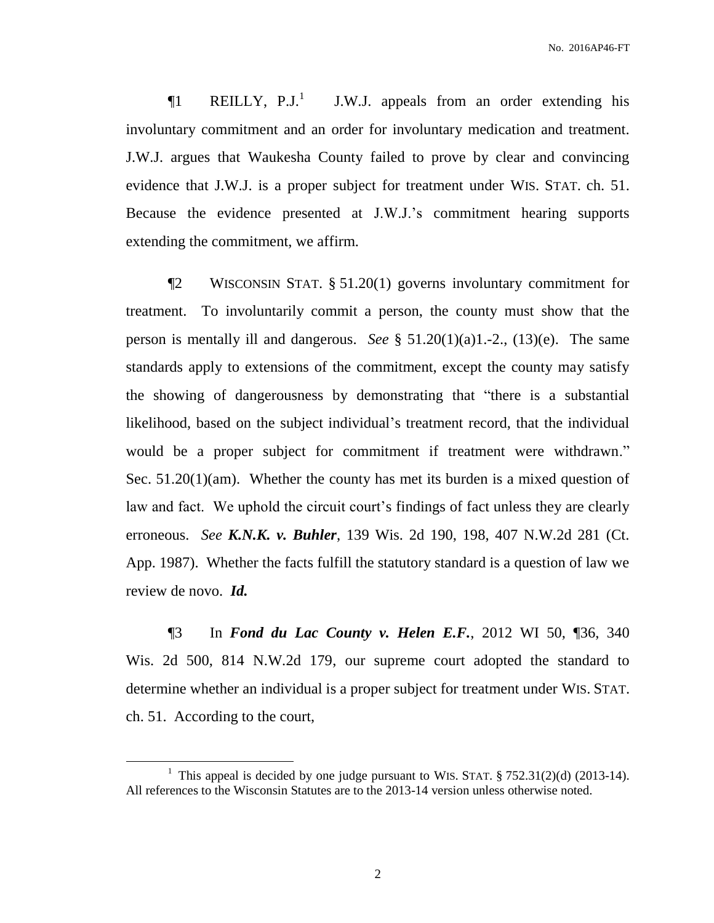$\P1$  REILLY, P.J.<sup>1</sup> J.W.J. appeals from an order extending his involuntary commitment and an order for involuntary medication and treatment. J.W.J. argues that Waukesha County failed to prove by clear and convincing evidence that J.W.J. is a proper subject for treatment under WIS. STAT. ch. 51. Because the evidence presented at J.W.J.'s commitment hearing supports extending the commitment, we affirm.

¶2 WISCONSIN STAT. § 51.20(1) governs involuntary commitment for treatment. To involuntarily commit a person, the county must show that the person is mentally ill and dangerous. *See* § 51.20(1)(a)1.-2., (13)(e). The same standards apply to extensions of the commitment, except the county may satisfy the showing of dangerousness by demonstrating that "there is a substantial likelihood, based on the subject individual's treatment record, that the individual would be a proper subject for commitment if treatment were withdrawn." Sec. 51.20(1)(am). Whether the county has met its burden is a mixed question of law and fact. We uphold the circuit court's findings of fact unless they are clearly erroneous. *See K.N.K. v. Buhler*, 139 Wis. 2d 190, 198, 407 N.W.2d 281 (Ct. App. 1987). Whether the facts fulfill the statutory standard is a question of law we review de novo. *Id.*

¶3 In *Fond du Lac County v. Helen E.F.*, 2012 WI 50, ¶36, 340 Wis. 2d 500, 814 N.W.2d 179, our supreme court adopted the standard to determine whether an individual is a proper subject for treatment under WIS. STAT. ch. 51. According to the court,

 $\overline{a}$ 

<sup>&</sup>lt;sup>1</sup> This appeal is decided by one judge pursuant to WIS. STAT.  $\S 752.31(2)(d)$  (2013-14). All references to the Wisconsin Statutes are to the 2013-14 version unless otherwise noted.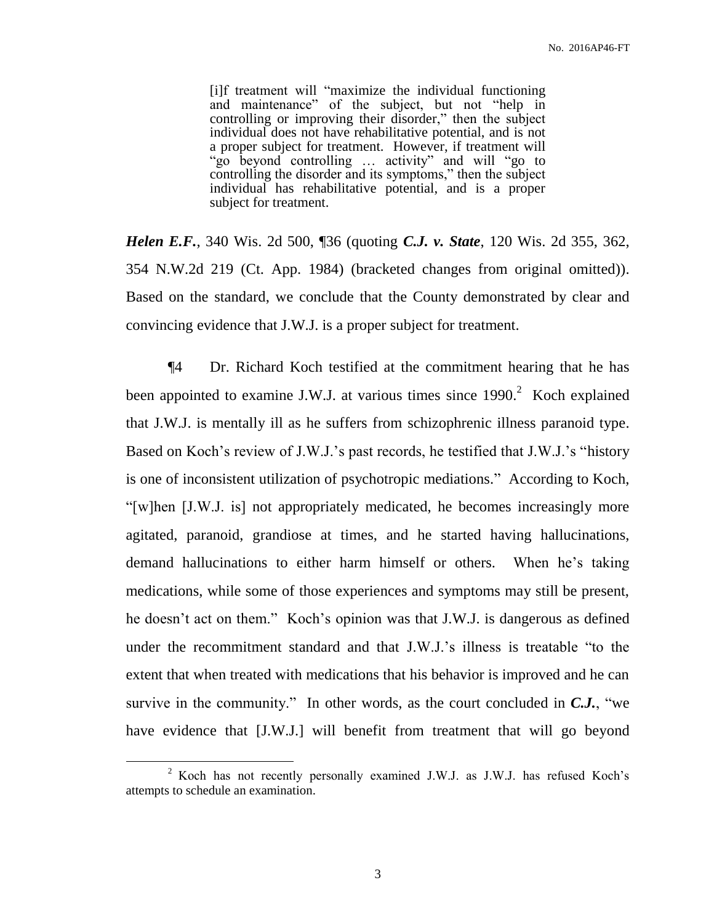[i]f treatment will "maximize the individual functioning and maintenance" of the subject, but not "help in controlling or improving their disorder," then the subject individual does not have rehabilitative potential, and is not a proper subject for treatment. However, if treatment will "go beyond controlling … activity" and will "go to controlling the disorder and its symptoms," then the subject individual has rehabilitative potential, and is a proper subject for treatment.

*Helen E.F.*, 340 Wis. 2d 500, ¶36 (quoting *C.J. v. State*, 120 Wis. 2d 355, 362, 354 N.W.2d 219 (Ct. App. 1984) (bracketed changes from original omitted)). Based on the standard, we conclude that the County demonstrated by clear and convincing evidence that J.W.J. is a proper subject for treatment.

¶4 Dr. Richard Koch testified at the commitment hearing that he has been appointed to examine J.W.J. at various times since  $1990.<sup>2</sup>$  Koch explained that J.W.J. is mentally ill as he suffers from schizophrenic illness paranoid type. Based on Koch's review of J.W.J.'s past records, he testified that J.W.J.'s "history is one of inconsistent utilization of psychotropic mediations." According to Koch, "[w]hen [J.W.J. is] not appropriately medicated, he becomes increasingly more agitated, paranoid, grandiose at times, and he started having hallucinations, demand hallucinations to either harm himself or others. When he's taking medications, while some of those experiences and symptoms may still be present, he doesn't act on them."Koch's opinion was that J.W.J. is dangerous as defined under the recommitment standard and that J.W.J.'s illness is treatable "to the extent that when treated with medications that his behavior is improved and he can survive in the community." In other words, as the court concluded in *C.J.*, "we have evidence that [J.W.J.] will benefit from treatment that will go beyond

 $\overline{a}$ 

 $2^2$  Koch has not recently personally examined J.W.J. as J.W.J. has refused Koch's attempts to schedule an examination.